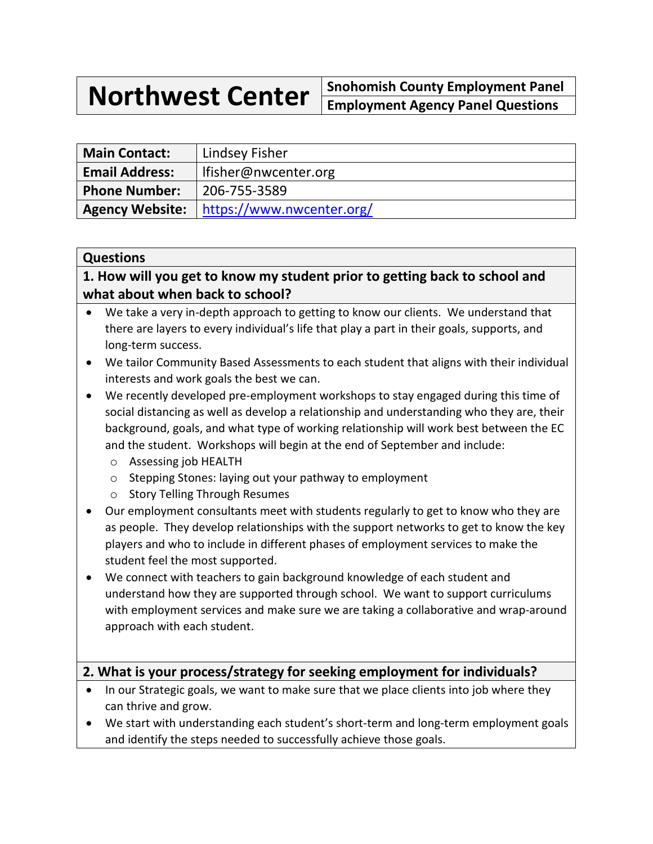**Northwest Center Snohomish County Employment Panel Employment Agency Panel Questions**

| <b>Main Contact:</b>  | Lindsey Fisher                              |
|-----------------------|---------------------------------------------|
| <b>Email Address:</b> | l Ifisher@nwcenter.org                      |
| <b>Phone Number:</b>  | 206-755-3589                                |
|                       | Agency Website:   https://www.nwcenter.org/ |

#### **Questions**

**1. How will you get to know my student prior to getting back to school and what about when back to school?**

- We take a very in-depth approach to getting to know our clients. We understand that there are layers to every individual's life that play a part in their goals, supports, and long-term success.
- We tailor Community Based Assessments to each student that aligns with their individual interests and work goals the best we can.
- We recently developed pre-employment workshops to stay engaged during this time of social distancing as well as develop a relationship and understanding who they are, their background, goals, and what type of working relationship will work best between the EC and the student. Workshops will begin at the end of September and include:
	- o Assessing job HEALTH
	- o Stepping Stones: laying out your pathway to employment
	- o Story Telling Through Resumes
- Our employment consultants meet with students regularly to get to know who they are as people. They develop relationships with the support networks to get to know the key players and who to include in different phases of employment services to make the student feel the most supported.
- We connect with teachers to gain background knowledge of each student and understand how they are supported through school. We want to support curriculums with employment services and make sure we are taking a collaborative and wrap-around approach with each student.

### **2. What is your process/strategy for seeking employment for individuals?**

- In our Strategic goals, we want to make sure that we place clients into job where they can thrive and grow.
- We start with understanding each student's short-term and long-term employment goals and identify the steps needed to successfully achieve those goals.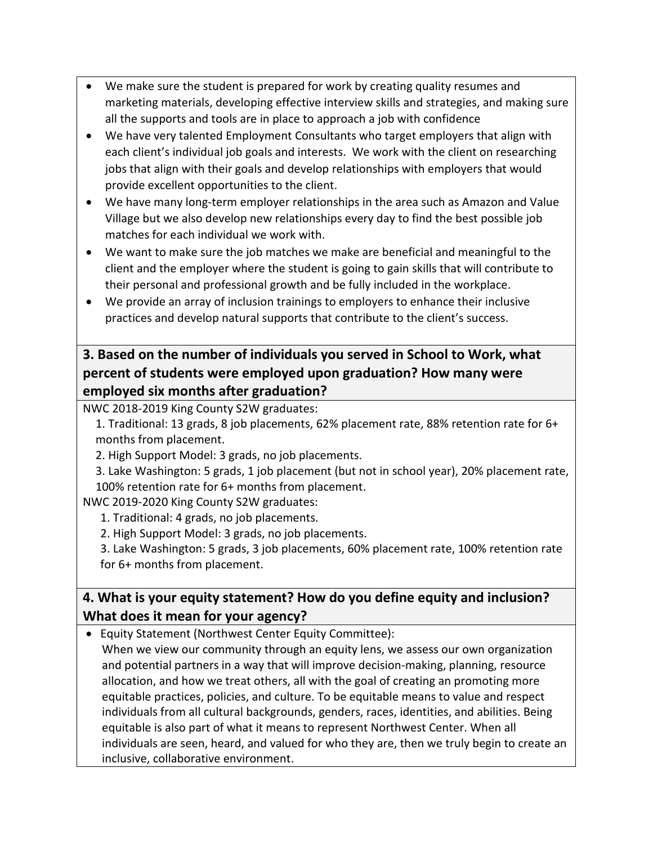- We make sure the student is prepared for work by creating quality resumes and marketing materials, developing effective interview skills and strategies, and making sure all the supports and tools are in place to approach a job with confidence
- We have very talented Employment Consultants who target employers that align with each client's individual job goals and interests. We work with the client on researching jobs that align with their goals and develop relationships with employers that would provide excellent opportunities to the client.
- We have many long-term employer relationships in the area such as Amazon and Value Village but we also develop new relationships every day to find the best possible job matches for each individual we work with.
- We want to make sure the job matches we make are beneficial and meaningful to the client and the employer where the student is going to gain skills that will contribute to their personal and professional growth and be fully included in the workplace.
- We provide an array of inclusion trainings to employers to enhance their inclusive practices and develop natural supports that contribute to the client's success.

# **3. Based on the number of individuals you served in School to Work, what percent of students were employed upon graduation? How many were employed six months after graduation?**

NWC 2018-2019 King County S2W graduates:

1. Traditional: 13 grads, 8 job placements, 62% placement rate, 88% retention rate for 6+ months from placement.

2. High Support Model: 3 grads, no job placements.

3. Lake Washington: 5 grads, 1 job placement (but not in school year), 20% placement rate, 100% retention rate for 6+ months from placement.

NWC 2019-2020 King County S2W graduates:

1. Traditional: 4 grads, no job placements.

2. High Support Model: 3 grads, no job placements.

3. Lake Washington: 5 grads, 3 job placements, 60% placement rate, 100% retention rate for 6+ months from placement.

# **4. What is your equity statement? How do you define equity and inclusion? What does it mean for your agency?**

• Equity Statement (Northwest Center Equity Committee):

When we view our community through an equity lens, we assess our own organization and potential partners in a way that will improve decision-making, planning, resource allocation, and how we treat others, all with the goal of creating an promoting more equitable practices, policies, and culture. To be equitable means to value and respect individuals from all cultural backgrounds, genders, races, identities, and abilities. Being equitable is also part of what it means to represent Northwest Center. When all individuals are seen, heard, and valued for who they are, then we truly begin to create an inclusive, collaborative environment.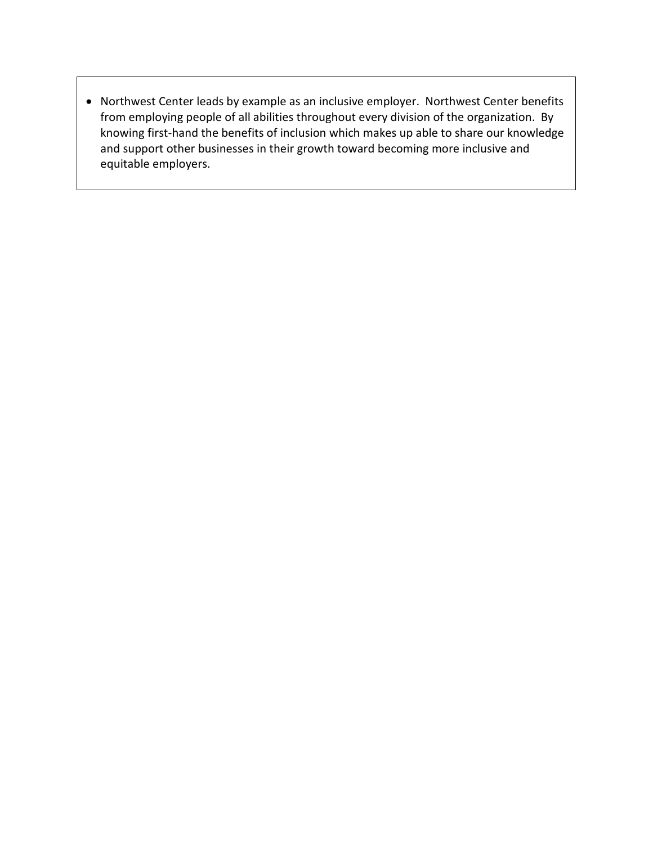• Northwest Center leads by example as an inclusive employer. Northwest Center benefits from employing people of all abilities throughout every division of the organization. By knowing first-hand the benefits of inclusion which makes up able to share our knowledge and support other businesses in their growth toward becoming more inclusive and equitable employers.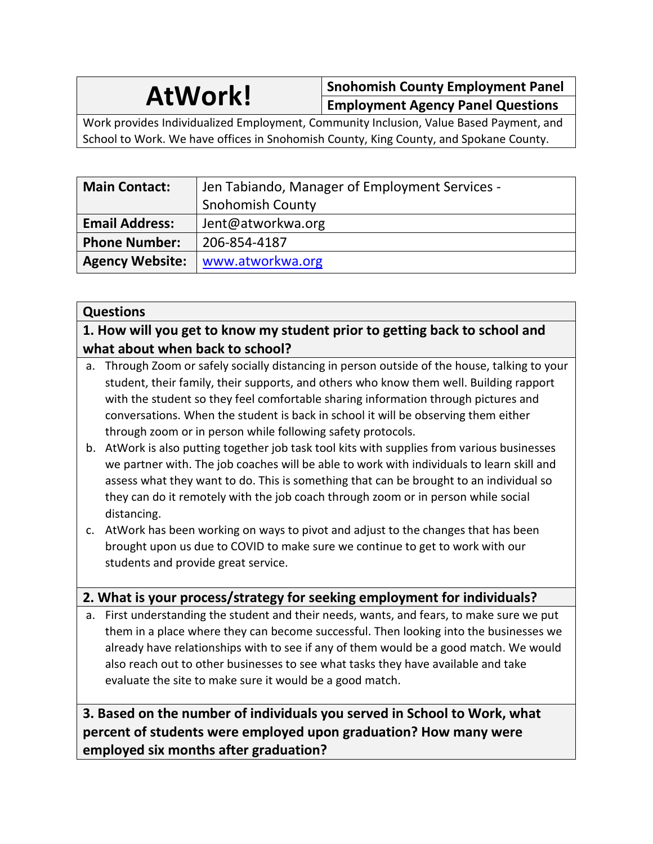**AtWork! Snohomish County Employment Panel Employment Agency Panel Questions**

Work provides Individualized Employment, Community Inclusion, Value Based Payment, and School to Work. We have offices in Snohomish County, King County, and Spokane County.

| <b>Main Contact:</b>   | Jen Tabiando, Manager of Employment Services - |
|------------------------|------------------------------------------------|
|                        | <b>Snohomish County</b>                        |
| <b>Email Address:</b>  | Jent@atworkwa.org                              |
| <b>Phone Number:</b>   | 206-854-4187                                   |
| <b>Agency Website:</b> | www.atworkwa.org                               |

### **Questions**

**1. How will you get to know my student prior to getting back to school and what about when back to school?**

- a. Through Zoom or safely socially distancing in person outside of the house, talking to your student, their family, their supports, and others who know them well. Building rapport with the student so they feel comfortable sharing information through pictures and conversations. When the student is back in school it will be observing them either through zoom or in person while following safety protocols.
- b. AtWork is also putting together job task tool kits with supplies from various businesses we partner with. The job coaches will be able to work with individuals to learn skill and assess what they want to do. This is something that can be brought to an individual so they can do it remotely with the job coach through zoom or in person while social distancing.
- c. AtWork has been working on ways to pivot and adjust to the changes that has been brought upon us due to COVID to make sure we continue to get to work with our students and provide great service.

# **2. What is your process/strategy for seeking employment for individuals?**

a. First understanding the student and their needs, wants, and fears, to make sure we put them in a place where they can become successful. Then looking into the businesses we already have relationships with to see if any of them would be a good match. We would also reach out to other businesses to see what tasks they have available and take evaluate the site to make sure it would be a good match.

**3. Based on the number of individuals you served in School to Work, what percent of students were employed upon graduation? How many were employed six months after graduation?**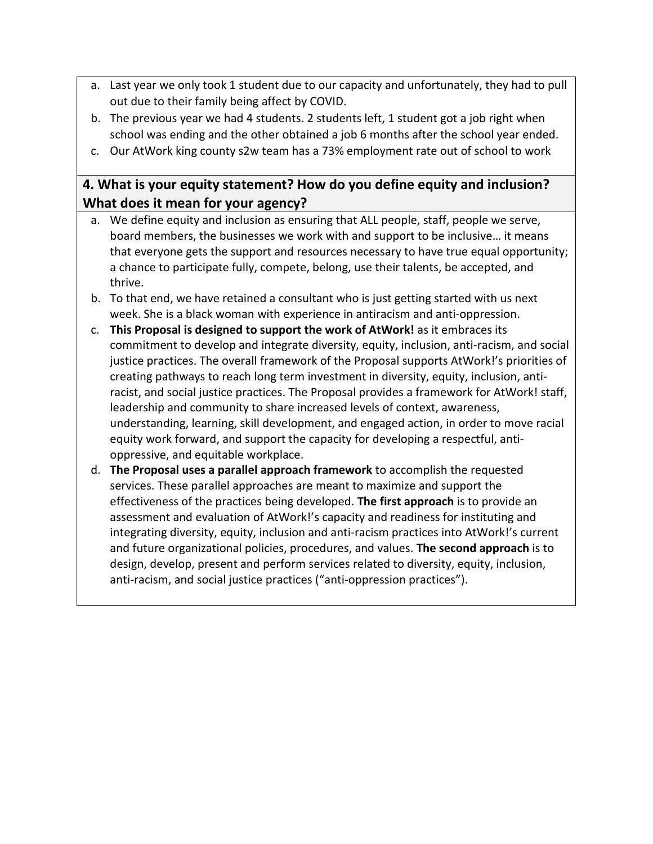- a. Last year we only took 1 student due to our capacity and unfortunately, they had to pull out due to their family being affect by COVID.
- b. The previous year we had 4 students. 2 students left, 1 student got a job right when school was ending and the other obtained a job 6 months after the school year ended.
- c. Our AtWork king county s2w team has a 73% employment rate out of school to work

# **4. What is your equity statement? How do you define equity and inclusion? What does it mean for your agency?**

- a. We define equity and inclusion as ensuring that ALL people, staff, people we serve, board members, the businesses we work with and support to be inclusive… it means that everyone gets the support and resources necessary to have true equal opportunity; a chance to participate fully, compete, belong, use their talents, be accepted, and thrive.
- b. To that end, we have retained a consultant who is just getting started with us next week. She is a black woman with experience in antiracism and anti-oppression.
- c. **This Proposal is designed to support the work of AtWork!** as it embraces its commitment to develop and integrate diversity, equity, inclusion, anti-racism, and social justice practices. The overall framework of the Proposal supports AtWork!'s priorities of creating pathways to reach long term investment in diversity, equity, inclusion, antiracist, and social justice practices. The Proposal provides a framework for AtWork! staff, leadership and community to share increased levels of context, awareness, understanding, learning, skill development, and engaged action, in order to move racial equity work forward, and support the capacity for developing a respectful, antioppressive, and equitable workplace.
- d. **The Proposal uses a parallel approach framework** to accomplish the requested services. These parallel approaches are meant to maximize and support the effectiveness of the practices being developed. **The first approach** is to provide an assessment and evaluation of AtWork!'s capacity and readiness for instituting and integrating diversity, equity, inclusion and anti-racism practices into AtWork!'s current and future organizational policies, procedures, and values. **The second approach** is to design, develop, present and perform services related to diversity, equity, inclusion, anti-racism, and social justice practices ("anti-oppression practices").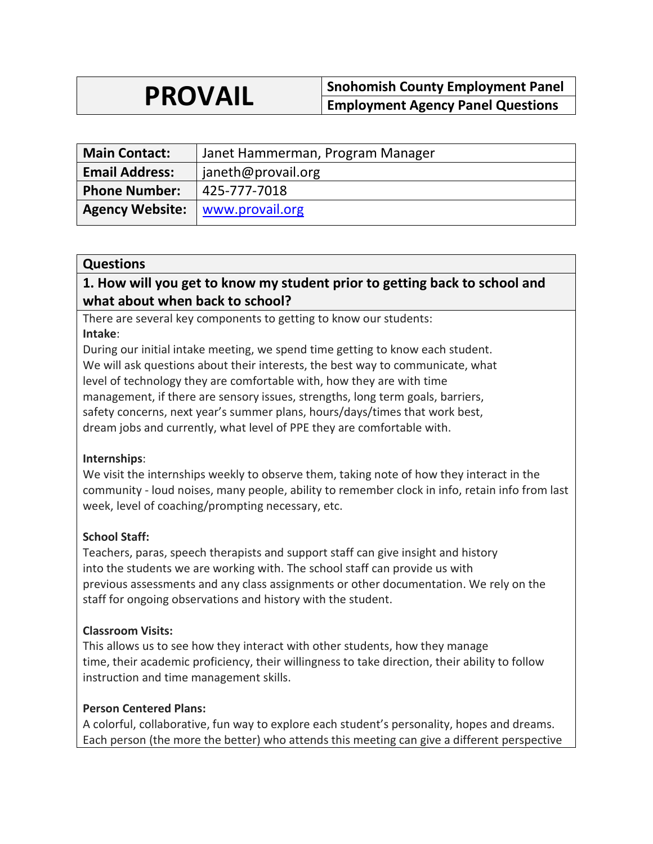# **PROVAIL Snohomish County Employment Panel Employment Agency Panel Questions**

| <b>Main Contact:</b>   | Janet Hammerman, Program Manager |
|------------------------|----------------------------------|
| <b>Email Address:</b>  | janeth@provail.org               |
| <b>Phone Number:</b>   | 425-777-7018                     |
| <b>Agency Website:</b> | www.provail.org                  |

#### **Questions**

# **1. How will you get to know my student prior to getting back to school and what about when back to school?**

There are several key components to getting to know our students: **Intake**:

During our initial intake meeting, we spend time getting to know each student. We will ask questions about their interests, the best way to communicate, what level of technology they are comfortable with, how they are with time management, if there are sensory issues, strengths, long term goals, barriers, safety concerns, next year's summer plans, hours/days/times that work best, dream jobs and currently, what level of PPE they are comfortable with.

#### **Internships**:

We visit the internships weekly to observe them, taking note of how they interact in the community - loud noises, many people, ability to remember clock in info, retain info from last week, level of coaching/prompting necessary, etc.

#### **School Staff:**

Teachers, paras, speech therapists and support staff can give insight and history into the students we are working with. The school staff can provide us with previous assessments and any class assignments or other documentation. We rely on the staff for ongoing observations and history with the student.

#### **Classroom Visits:**

This allows us to see how they interact with other students, how they manage time, their academic proficiency, their willingness to take direction, their ability to follow instruction and time management skills.

#### **Person Centered Plans:**

A colorful, collaborative, fun way to explore each student's personality, hopes and dreams. Each person (the more the better) who attends this meeting can give a different perspective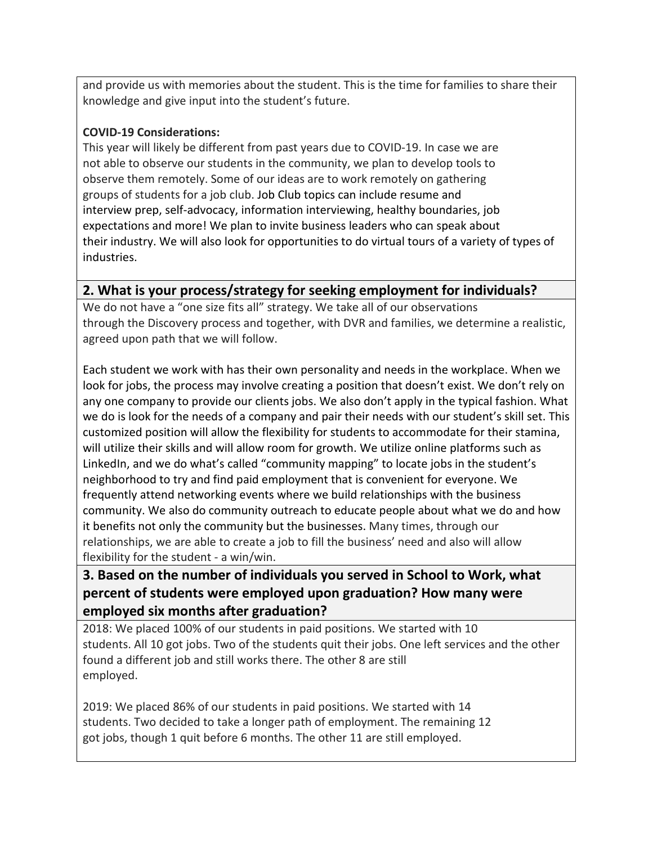and provide us with memories about the student. This is the time for families to share their knowledge and give input into the student's future.

### **COVID-19 Considerations:**

This year will likely be different from past years due to COVID-19. In case we are not able to observe our students in the community, we plan to develop tools to observe them remotely. Some of our ideas are to work remotely on gathering groups of students for a job club. Job Club topics can include resume and interview prep, self-advocacy, information interviewing, healthy boundaries, job expectations and more! We plan to invite business leaders who can speak about their industry. We will also look for opportunities to do virtual tours of a variety of types of industries.

# **2. What is your process/strategy for seeking employment for individuals?**

We do not have a "one size fits all" strategy. We take all of our observations through the Discovery process and together, with DVR and families, we determine a realistic, agreed upon path that we will follow.

Each student we work with has their own personality and needs in the workplace. When we look for jobs, the process may involve creating a position that doesn't exist. We don't rely on any one company to provide our clients jobs. We also don't apply in the typical fashion. What we do is look for the needs of a company and pair their needs with our student's skill set. This customized position will allow the flexibility for students to accommodate for their stamina, will utilize their skills and will allow room for growth. We utilize online platforms such as LinkedIn, and we do what's called "community mapping" to locate jobs in the student's neighborhood to try and find paid employment that is convenient for everyone. We frequently attend networking events where we build relationships with the business community. We also do community outreach to educate people about what we do and how it benefits not only the community but the businesses. Many times, through our relationships, we are able to create a job to fill the business' need and also will allow flexibility for the student - a win/win.

# **3. Based on the number of individuals you served in School to Work, what percent of students were employed upon graduation? How many were employed six months after graduation?**

2018: We placed 100% of our students in paid positions. We started with 10 students. All 10 got jobs. Two of the students quit their jobs. One left services and the other found a different job and still works there. The other 8 are still employed.

2019: We placed 86% of our students in paid positions. We started with 14 students. Two decided to take a longer path of employment. The remaining 12 got jobs, though 1 quit before 6 months. The other 11 are still employed.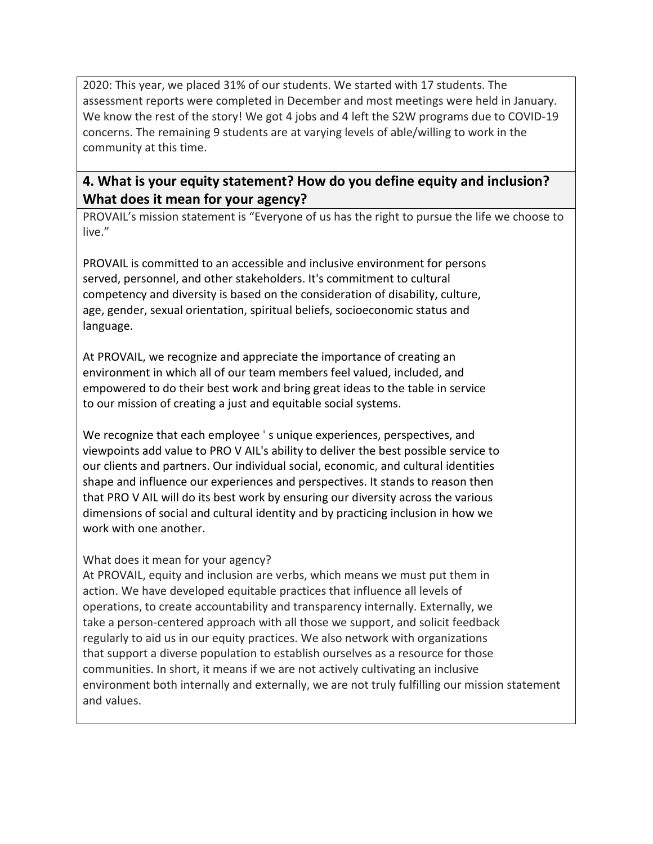2020: This year, we placed 31% of our students. We started with 17 students. The assessment reports were completed in December and most meetings were held in January. We know the rest of the story! We got 4 jobs and 4 left the S2W programs due to COVID-19 concerns. The remaining 9 students are at varying levels of able/willing to work in the community at this time.

# **4. What is your equity statement? How do you define equity and inclusion? What does it mean for your agency?**

PROVAIL's mission statement is "Everyone of us has the right to pursue the life we choose to live."

PROVAIL is committed to an accessible and inclusive environment for persons served, personnel, and other stakeholders. It's commitment to cultural competency and diversity is based on the consideration of disability, culture, age, gender, sexual orientation, spiritual beliefs, socioeconomic status and language.

At PROVAIL, we recognize and appreciate the importance of creating an environment in which all of our team members feel valued, included, and empowered to do their best work and bring great ideas to the table in service to our mission of creating a just and equitable social systems.

We recognize that each employee 's unique experiences, perspectives, and viewpoints add value to PRO V AIL's ability to deliver the best possible service to our clients and partners. Our individual social, economic, and cultural identities shape and influence our experiences and perspectives. It stands to reason then that PRO V AIL will do its best work by ensuring our diversity across the various dimensions of social and cultural identity and by practicing inclusion in how we work with one another.

#### What does it mean for your agency?

At PROVAIL, equity and inclusion are verbs, which means we must put them in action. We have developed equitable practices that influence all levels of operations, to create accountability and transparency internally. Externally, we take a person-centered approach with all those we support, and solicit feedback regularly to aid us in our equity practices. We also network with organizations that support a diverse population to establish ourselves as a resource for those communities. In short, it means if we are not actively cultivating an inclusive environment both internally and externally, we are not truly fulfilling our mission statement and values.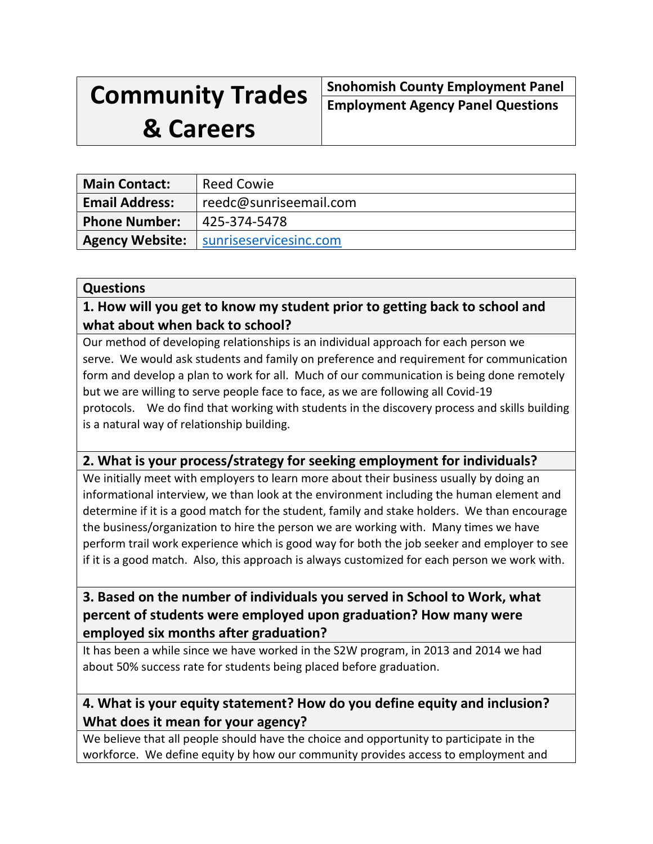# **Community Trades**

**Snohomish County Employment Panel Employment Agency Panel Questions**

# **& Careers**

| <b>Main Contact:</b>  | <b>Reed Cowie</b>                               |
|-----------------------|-------------------------------------------------|
| <b>Email Address:</b> | reedc@sunriseemail.com                          |
| <b>Phone Number:</b>  | 425-374-5478                                    |
|                       | <b>Agency Website:</b>   sunriseservicesinc.com |

### **Questions**

# **1. How will you get to know my student prior to getting back to school and what about when back to school?**

Our method of developing relationships is an individual approach for each person we serve. We would ask students and family on preference and requirement for communication form and develop a plan to work for all. Much of our communication is being done remotely but we are willing to serve people face to face, as we are following all Covid-19 protocols. We do find that working with students in the discovery process and skills building is a natural way of relationship building.

# **2. What is your process/strategy for seeking employment for individuals?**

We initially meet with employers to learn more about their business usually by doing an informational interview, we than look at the environment including the human element and determine if it is a good match for the student, family and stake holders. We than encourage the business/organization to hire the person we are working with. Many times we have perform trail work experience which is good way for both the job seeker and employer to see if it is a good match. Also, this approach is always customized for each person we work with.

# **3. Based on the number of individuals you served in School to Work, what percent of students were employed upon graduation? How many were employed six months after graduation?**

It has been a while since we have worked in the S2W program, in 2013 and 2014 we had about 50% success rate for students being placed before graduation.

# **4. What is your equity statement? How do you define equity and inclusion? What does it mean for your agency?**

We believe that all people should have the choice and opportunity to participate in the workforce. We define equity by how our community provides access to employment and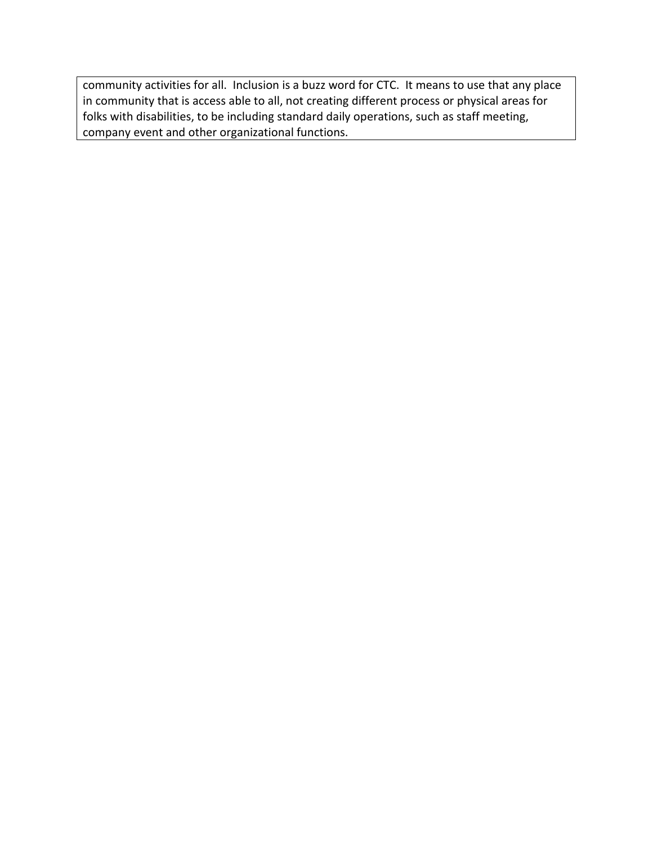community activities for all. Inclusion is a buzz word for CTC. It means to use that any place in community that is access able to all, not creating different process or physical areas for folks with disabilities, to be including standard daily operations, such as staff meeting, company event and other organizational functions.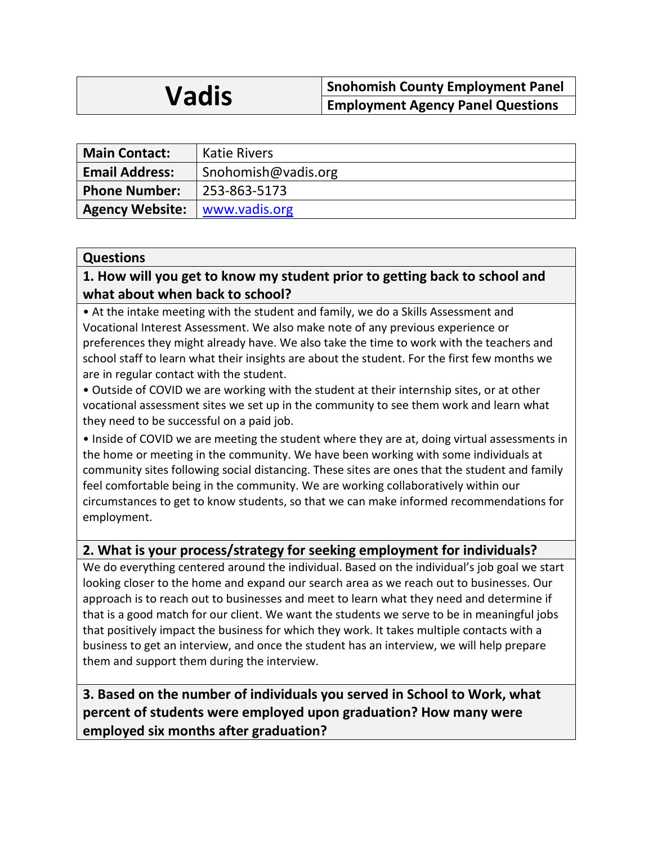# **Vadis** Snohomish County Employment Panel<br>
Employment Agency Panel Questions

| <b>Main Contact:</b>                   | <b>Katie Rivers</b> |
|----------------------------------------|---------------------|
| <b>Email Address:</b>                  | Snohomish@vadis.org |
| <b>Phone Number:</b>                   | 253-863-5173        |
| <b>Agency Website:</b>   www.vadis.org |                     |

#### **Questions**

# **1. How will you get to know my student prior to getting back to school and what about when back to school?**

• At the intake meeting with the student and family, we do a Skills Assessment and Vocational Interest Assessment. We also make note of any previous experience or preferences they might already have. We also take the time to work with the teachers and school staff to learn what their insights are about the student. For the first few months we are in regular contact with the student.

• Outside of COVID we are working with the student at their internship sites, or at other vocational assessment sites we set up in the community to see them work and learn what they need to be successful on a paid job.

• Inside of COVID we are meeting the student where they are at, doing virtual assessments in the home or meeting in the community. We have been working with some individuals at community sites following social distancing. These sites are ones that the student and family feel comfortable being in the community. We are working collaboratively within our circumstances to get to know students, so that we can make informed recommendations for employment.

# **2. What is your process/strategy for seeking employment for individuals?**

We do everything centered around the individual. Based on the individual's job goal we start looking closer to the home and expand our search area as we reach out to businesses. Our approach is to reach out to businesses and meet to learn what they need and determine if that is a good match for our client. We want the students we serve to be in meaningful jobs that positively impact the business for which they work. It takes multiple contacts with a business to get an interview, and once the student has an interview, we will help prepare them and support them during the interview.

**3. Based on the number of individuals you served in School to Work, what percent of students were employed upon graduation? How many were employed six months after graduation?**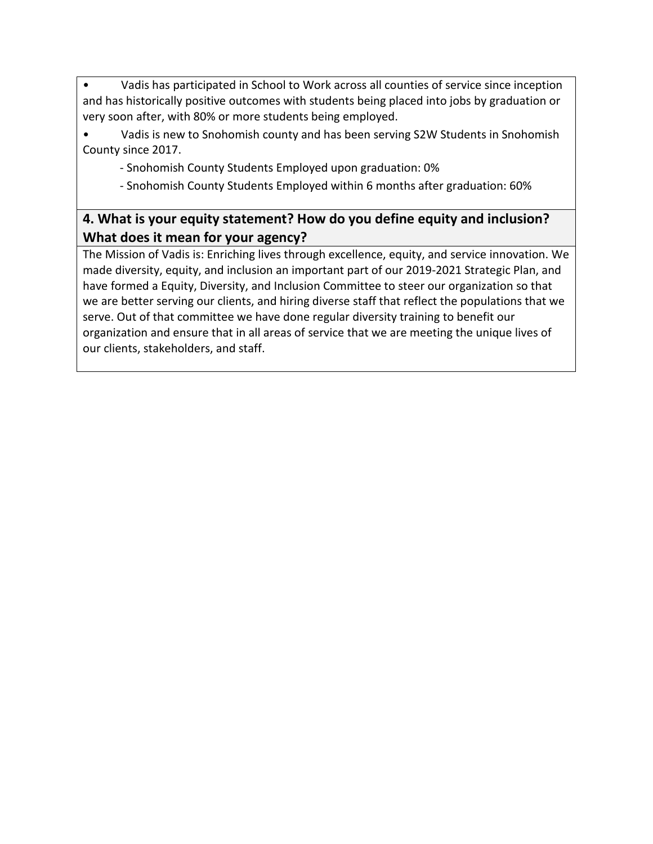• Vadis has participated in School to Work across all counties of service since inception and has historically positive outcomes with students being placed into jobs by graduation or very soon after, with 80% or more students being employed.

Vadis is new to Snohomish county and has been serving S2W Students in Snohomish County since 2017.

- Snohomish County Students Employed upon graduation: 0%

- Snohomish County Students Employed within 6 months after graduation: 60%

# **4. What is your equity statement? How do you define equity and inclusion? What does it mean for your agency?**

The Mission of Vadis is: Enriching lives through excellence, equity, and service innovation. We made diversity, equity, and inclusion an important part of our 2019-2021 Strategic Plan, and have formed a Equity, Diversity, and Inclusion Committee to steer our organization so that we are better serving our clients, and hiring diverse staff that reflect the populations that we serve. Out of that committee we have done regular diversity training to benefit our organization and ensure that in all areas of service that we are meeting the unique lives of our clients, stakeholders, and staff.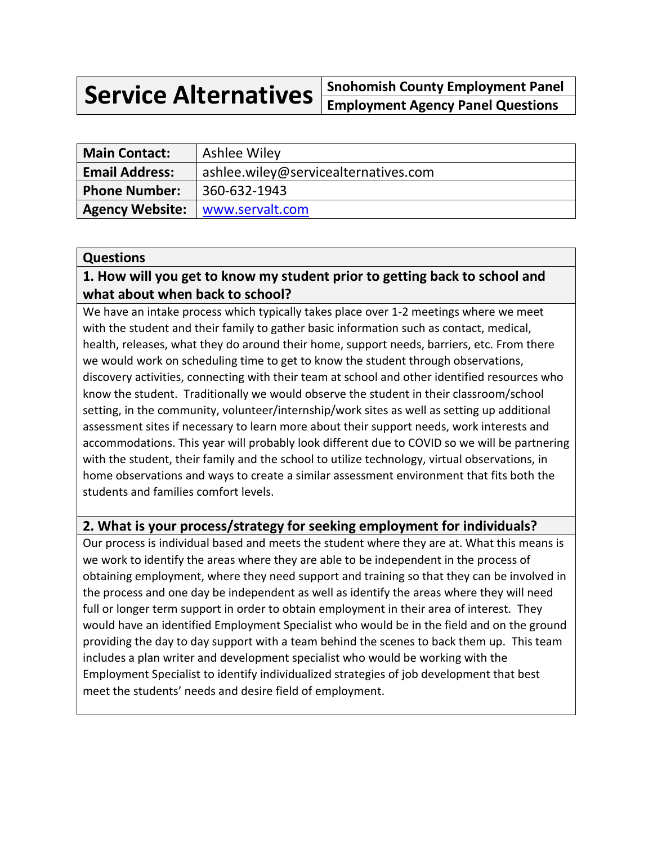**Service Alternatives Snohomish County Employment Panel Employment Agency Panel Questions**

| <b>Main Contact:</b>              | Ashlee Wiley                         |
|-----------------------------------|--------------------------------------|
| <b>Email Address:</b>             | ashlee.wiley@servicealternatives.com |
| <b>Phone Number:</b>              | 360-632-1943                         |
| Agency Website:   www.servalt.com |                                      |

#### **Questions**

### **1. How will you get to know my student prior to getting back to school and what about when back to school?**

We have an intake process which typically takes place over 1-2 meetings where we meet with the student and their family to gather basic information such as contact, medical, health, releases, what they do around their home, support needs, barriers, etc. From there we would work on scheduling time to get to know the student through observations, discovery activities, connecting with their team at school and other identified resources who know the student. Traditionally we would observe the student in their classroom/school setting, in the community, volunteer/internship/work sites as well as setting up additional assessment sites if necessary to learn more about their support needs, work interests and accommodations. This year will probably look different due to COVID so we will be partnering with the student, their family and the school to utilize technology, virtual observations, in home observations and ways to create a similar assessment environment that fits both the students and families comfort levels.

### **2. What is your process/strategy for seeking employment for individuals?**

Our process is individual based and meets the student where they are at. What this means is we work to identify the areas where they are able to be independent in the process of obtaining employment, where they need support and training so that they can be involved in the process and one day be independent as well as identify the areas where they will need full or longer term support in order to obtain employment in their area of interest. They would have an identified Employment Specialist who would be in the field and on the ground providing the day to day support with a team behind the scenes to back them up. This team includes a plan writer and development specialist who would be working with the Employment Specialist to identify individualized strategies of job development that best meet the students' needs and desire field of employment.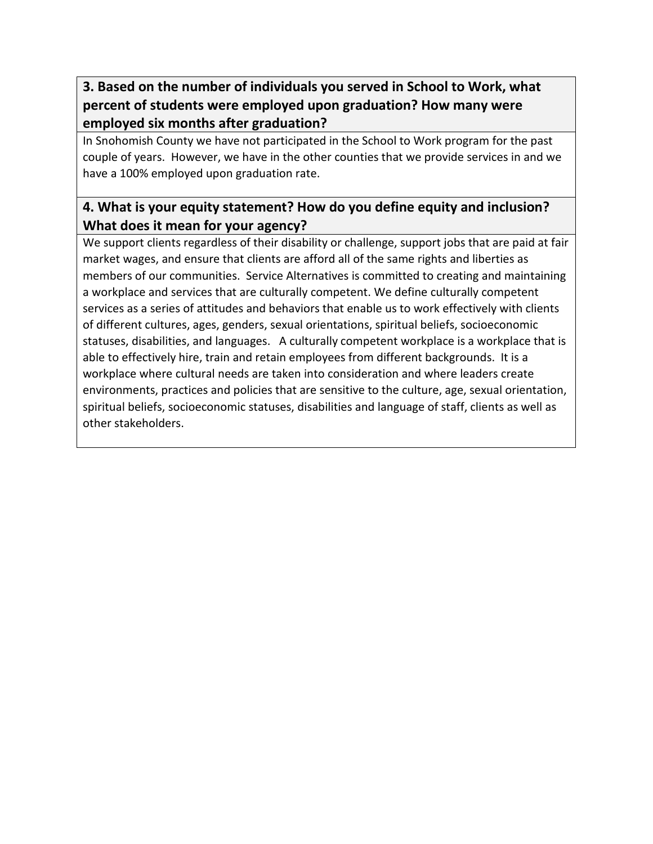# **3. Based on the number of individuals you served in School to Work, what percent of students were employed upon graduation? How many were employed six months after graduation?**

In Snohomish County we have not participated in the School to Work program for the past couple of years. However, we have in the other counties that we provide services in and we have a 100% employed upon graduation rate.

# **4. What is your equity statement? How do you define equity and inclusion? What does it mean for your agency?**

We support clients regardless of their disability or challenge, support jobs that are paid at fair market wages, and ensure that clients are afford all of the same rights and liberties as members of our communities. Service Alternatives is committed to creating and maintaining a workplace and services that are culturally competent. We define culturally competent services as a series of attitudes and behaviors that enable us to work effectively with clients of different cultures, ages, genders, sexual orientations, spiritual beliefs, socioeconomic statuses, disabilities, and languages. A culturally competent workplace is a workplace that is able to effectively hire, train and retain employees from different backgrounds. It is a workplace where cultural needs are taken into consideration and where leaders create environments, practices and policies that are sensitive to the culture, age, sexual orientation, spiritual beliefs, socioeconomic statuses, disabilities and language of staff, clients as well as other stakeholders.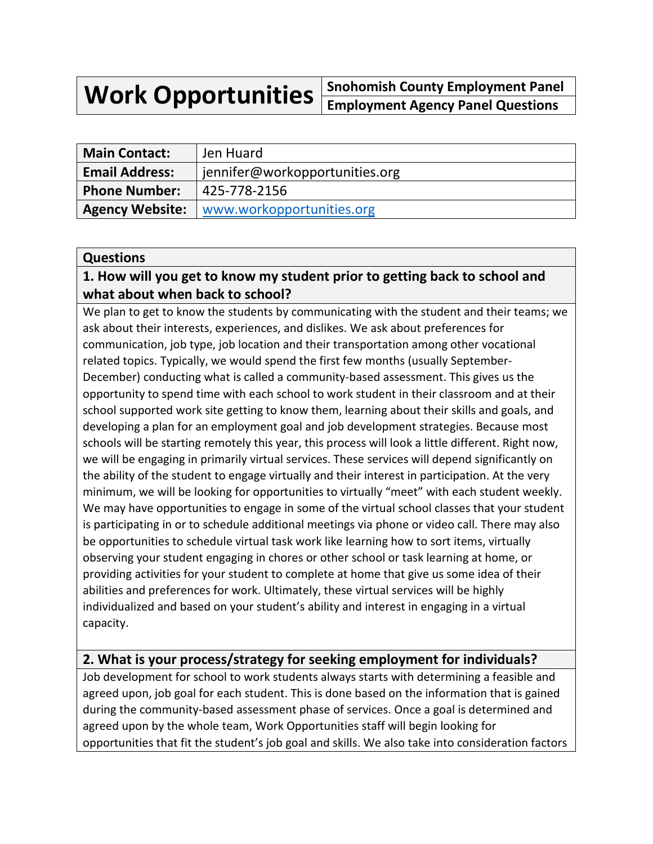**Work Opportunities Snohomish County Employment Panel Employment Agency Panel Questions**

| <b>Main Contact:</b>   | Jen Huard                      |
|------------------------|--------------------------------|
| <b>Email Address:</b>  | jennifer@workopportunities.org |
| <b>Phone Number:</b>   | 425-778-2156                   |
| <b>Agency Website:</b> | www.workopportunities.org      |

#### **Questions**

# **1. How will you get to know my student prior to getting back to school and what about when back to school?**

We plan to get to know the students by communicating with the student and their teams; we ask about their interests, experiences, and dislikes. We ask about preferences for communication, job type, job location and their transportation among other vocational related topics. Typically, we would spend the first few months (usually September-December) conducting what is called a community-based assessment. This gives us the opportunity to spend time with each school to work student in their classroom and at their school supported work site getting to know them, learning about their skills and goals, and developing a plan for an employment goal and job development strategies. Because most schools will be starting remotely this year, this process will look a little different. Right now, we will be engaging in primarily virtual services. These services will depend significantly on the ability of the student to engage virtually and their interest in participation. At the very minimum, we will be looking for opportunities to virtually "meet" with each student weekly. We may have opportunities to engage in some of the virtual school classes that your student is participating in or to schedule additional meetings via phone or video call. There may also be opportunities to schedule virtual task work like learning how to sort items, virtually observing your student engaging in chores or other school or task learning at home, or providing activities for your student to complete at home that give us some idea of their abilities and preferences for work. Ultimately, these virtual services will be highly individualized and based on your student's ability and interest in engaging in a virtual capacity.

# **2. What is your process/strategy for seeking employment for individuals?**

Job development for school to work students always starts with determining a feasible and agreed upon, job goal for each student. This is done based on the information that is gained during the community-based assessment phase of services. Once a goal is determined and agreed upon by the whole team, Work Opportunities staff will begin looking for opportunities that fit the student's job goal and skills. We also take into consideration factors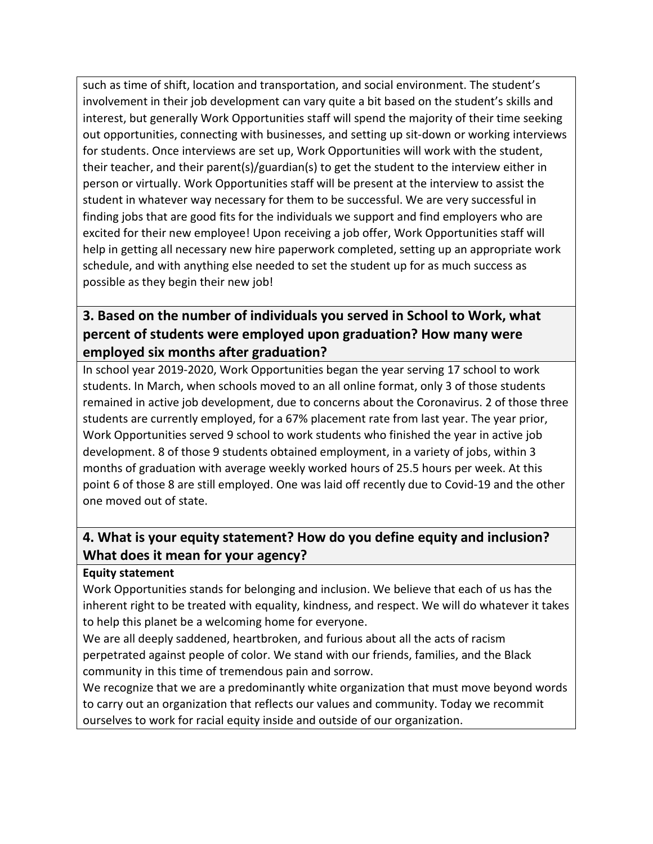such as time of shift, location and transportation, and social environment. The student's involvement in their job development can vary quite a bit based on the student's skills and interest, but generally Work Opportunities staff will spend the majority of their time seeking out opportunities, connecting with businesses, and setting up sit-down or working interviews for students. Once interviews are set up, Work Opportunities will work with the student, their teacher, and their parent(s)/guardian(s) to get the student to the interview either in person or virtually. Work Opportunities staff will be present at the interview to assist the student in whatever way necessary for them to be successful. We are very successful in finding jobs that are good fits for the individuals we support and find employers who are excited for their new employee! Upon receiving a job offer, Work Opportunities staff will help in getting all necessary new hire paperwork completed, setting up an appropriate work schedule, and with anything else needed to set the student up for as much success as possible as they begin their new job!

# **3. Based on the number of individuals you served in School to Work, what percent of students were employed upon graduation? How many were employed six months after graduation?**

In school year 2019-2020, Work Opportunities began the year serving 17 school to work students. In March, when schools moved to an all online format, only 3 of those students remained in active job development, due to concerns about the Coronavirus. 2 of those three students are currently employed, for a 67% placement rate from last year. The year prior, Work Opportunities served 9 school to work students who finished the year in active job development. 8 of those 9 students obtained employment, in a variety of jobs, within 3 months of graduation with average weekly worked hours of 25.5 hours per week. At this point 6 of those 8 are still employed. One was laid off recently due to Covid-19 and the other one moved out of state.

# **4. What is your equity statement? How do you define equity and inclusion? What does it mean for your agency?**

#### **Equity statement**

Work Opportunities stands for belonging and inclusion. We believe that each of us has the inherent right to be treated with equality, kindness, and respect. We will do whatever it takes to help this planet be a welcoming home for everyone.

We are all deeply saddened, heartbroken, and furious about all the acts of racism perpetrated against people of color. We stand with our friends, families, and the Black community in this time of tremendous pain and sorrow.

We recognize that we are a predominantly white organization that must move beyond words to carry out an organization that reflects our values and community. Today we recommit ourselves to work for racial equity inside and outside of our organization.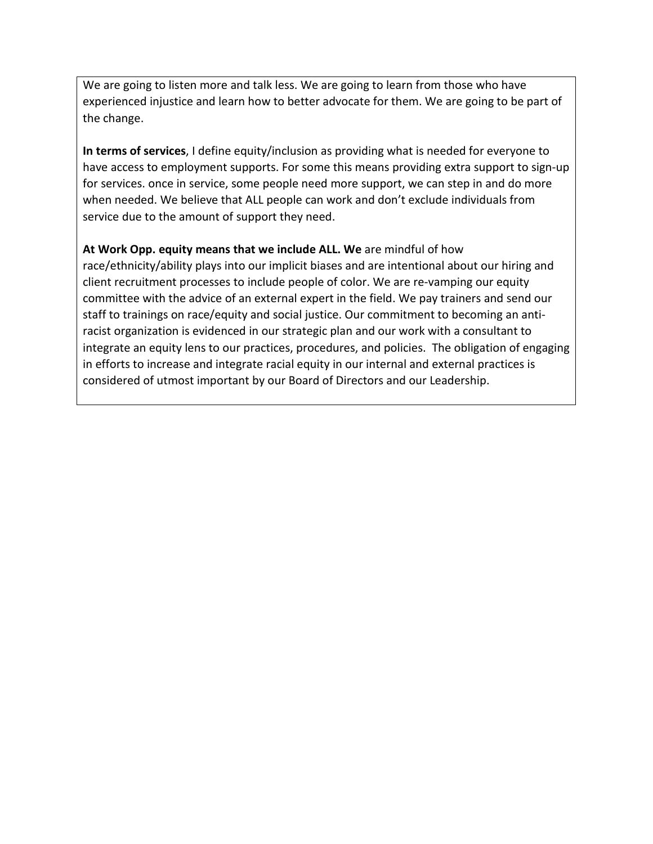We are going to listen more and talk less. We are going to learn from those who have experienced injustice and learn how to better advocate for them. We are going to be part of the change.

**In terms of services**, I define equity/inclusion as providing what is needed for everyone to have access to employment supports. For some this means providing extra support to sign-up for services. once in service, some people need more support, we can step in and do more when needed. We believe that ALL people can work and don't exclude individuals from service due to the amount of support they need.

**At Work Opp. equity means that we include ALL. We** are mindful of how race/ethnicity/ability plays into our implicit biases and are intentional about our hiring and client recruitment processes to include people of color. We are re-vamping our equity committee with the advice of an external expert in the field. We pay trainers and send our staff to trainings on race/equity and social justice. Our commitment to becoming an antiracist organization is evidenced in our strategic plan and our work with a consultant to integrate an equity lens to our practices, procedures, and policies. The obligation of engaging in efforts to increase and integrate racial equity in our internal and external practices is considered of utmost important by our Board of Directors and our Leadership.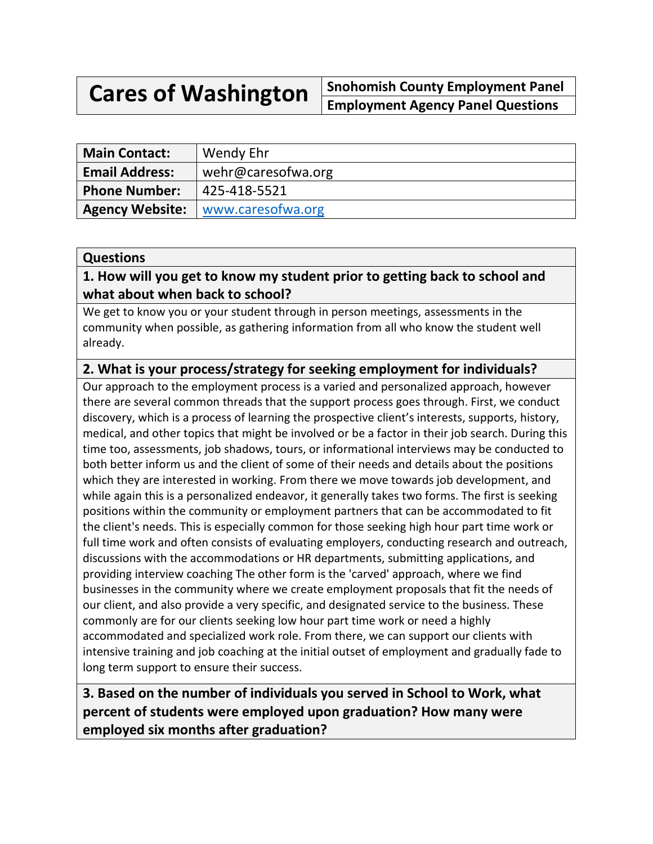**Cares of Washington Snohomish County Employment Panel Employment Agency Panel Questions**

| <b>Main Contact:</b>   | Wendy Ehr          |
|------------------------|--------------------|
| <b>Email Address:</b>  | wehr@caresofwa.org |
| <b>Phone Number:</b>   | 425-418-5521       |
| <b>Agency Website:</b> | www.caresofwa.org  |

#### **Questions**

## **1. How will you get to know my student prior to getting back to school and what about when back to school?**

We get to know you or your student through in person meetings, assessments in the community when possible, as gathering information from all who know the student well already.

# **2. What is your process/strategy for seeking employment for individuals?**

Our approach to the employment process is a varied and personalized approach, however there are several common threads that the support process goes through. First, we conduct discovery, which is a process of learning the prospective client's interests, supports, history, medical, and other topics that might be involved or be a factor in their job search. During this time too, assessments, job shadows, tours, or informational interviews may be conducted to both better inform us and the client of some of their needs and details about the positions which they are interested in working. From there we move towards job development, and while again this is a personalized endeavor, it generally takes two forms. The first is seeking positions within the community or employment partners that can be accommodated to fit the client's needs. This is especially common for those seeking high hour part time work or full time work and often consists of evaluating employers, conducting research and outreach, discussions with the accommodations or HR departments, submitting applications, and providing interview coaching The other form is the 'carved' approach, where we find businesses in the community where we create employment proposals that fit the needs of our client, and also provide a very specific, and designated service to the business. These commonly are for our clients seeking low hour part time work or need a highly accommodated and specialized work role. From there, we can support our clients with intensive training and job coaching at the initial outset of employment and gradually fade to long term support to ensure their success.

**3. Based on the number of individuals you served in School to Work, what percent of students were employed upon graduation? How many were employed six months after graduation?**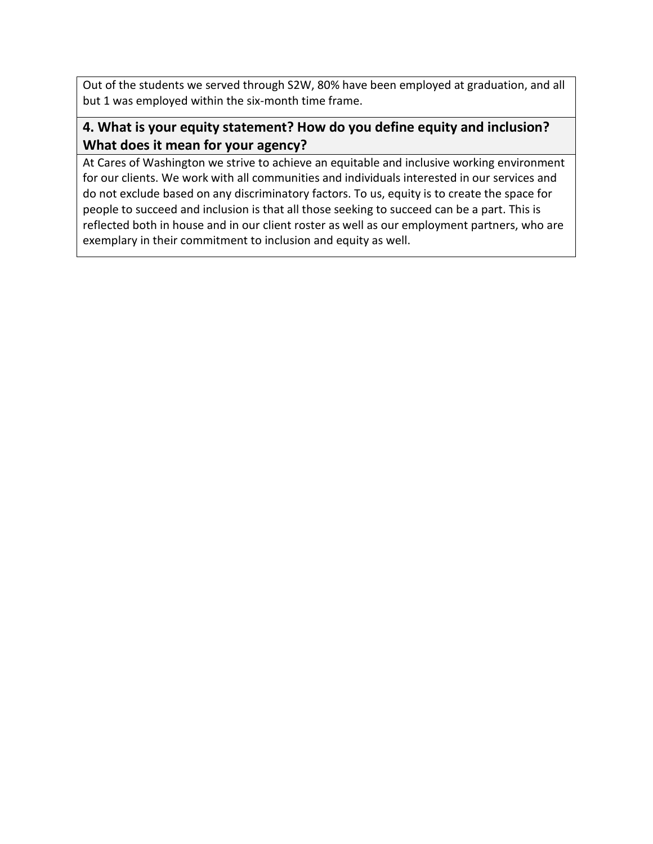Out of the students we served through S2W, 80% have been employed at graduation, and all but 1 was employed within the six-month time frame.

# **4. What is your equity statement? How do you define equity and inclusion? What does it mean for your agency?**

At Cares of Washington we strive to achieve an equitable and inclusive working environment for our clients. We work with all communities and individuals interested in our services and do not exclude based on any discriminatory factors. To us, equity is to create the space for people to succeed and inclusion is that all those seeking to succeed can be a part. This is reflected both in house and in our client roster as well as our employment partners, who are exemplary in their commitment to inclusion and equity as well.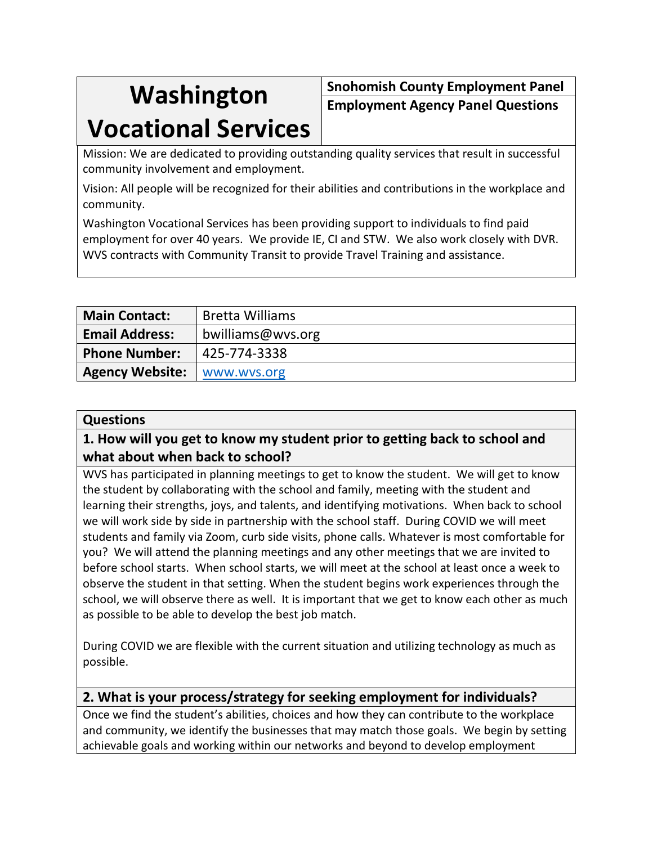# **Washington**

# **Vocational Services**

**Snohomish County Employment Panel Employment Agency Panel Questions**

Mission: We are dedicated to providing outstanding quality services that result in successful community involvement and employment.

Vision: All people will be recognized for their abilities and contributions in the workplace and community.

Washington Vocational Services has been providing support to individuals to find paid employment for over 40 years. We provide IE, CI and STW. We also work closely with DVR. WVS contracts with Community Transit to provide Travel Training and assistance.

| <b>Main Contact:</b>   | <b>Bretta Williams</b> |
|------------------------|------------------------|
| <b>Email Address:</b>  | bwilliams@wys.org      |
| <b>Phone Number:</b>   | 425-774-3338           |
| <b>Agency Website:</b> | www.wvs.org            |

#### **Questions**

# **1. How will you get to know my student prior to getting back to school and what about when back to school?**

WVS has participated in planning meetings to get to know the student. We will get to know the student by collaborating with the school and family, meeting with the student and learning their strengths, joys, and talents, and identifying motivations. When back to school we will work side by side in partnership with the school staff. During COVID we will meet students and family via Zoom, curb side visits, phone calls. Whatever is most comfortable for you? We will attend the planning meetings and any other meetings that we are invited to before school starts. When school starts, we will meet at the school at least once a week to observe the student in that setting. When the student begins work experiences through the school, we will observe there as well. It is important that we get to know each other as much as possible to be able to develop the best job match.

During COVID we are flexible with the current situation and utilizing technology as much as possible.

### **2. What is your process/strategy for seeking employment for individuals?**

Once we find the student's abilities, choices and how they can contribute to the workplace and community, we identify the businesses that may match those goals. We begin by setting achievable goals and working within our networks and beyond to develop employment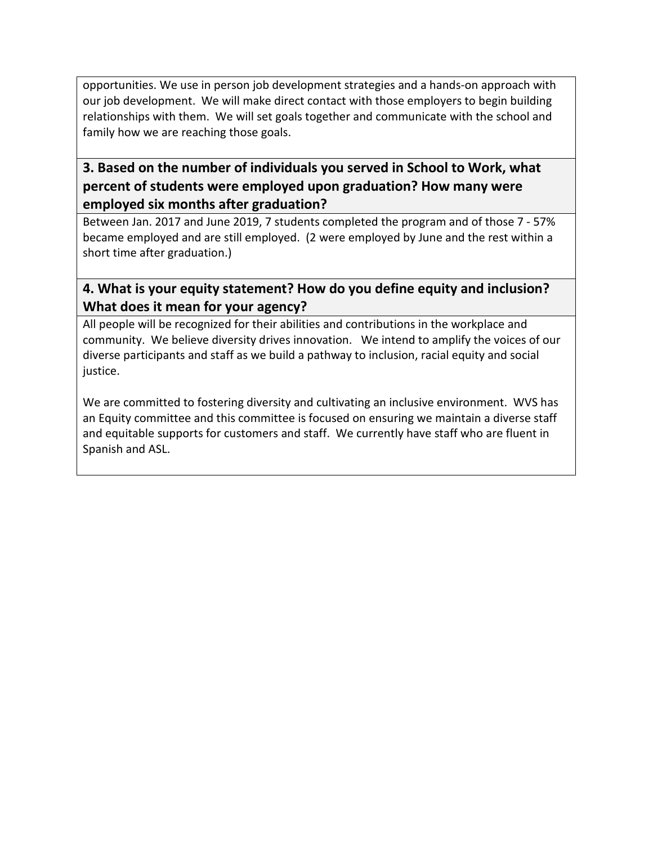opportunities. We use in person job development strategies and a hands-on approach with our job development. We will make direct contact with those employers to begin building relationships with them. We will set goals together and communicate with the school and family how we are reaching those goals.

# **3. Based on the number of individuals you served in School to Work, what percent of students were employed upon graduation? How many were employed six months after graduation?**

Between Jan. 2017 and June 2019, 7 students completed the program and of those 7 - 57% became employed and are still employed. (2 were employed by June and the rest within a short time after graduation.)

# **4. What is your equity statement? How do you define equity and inclusion? What does it mean for your agency?**

All people will be recognized for their abilities and contributions in the workplace and community. We believe diversity drives innovation. We intend to amplify the voices of our diverse participants and staff as we build a pathway to inclusion, racial equity and social justice.

We are committed to fostering diversity and cultivating an inclusive environment. WVS has an Equity committee and this committee is focused on ensuring we maintain a diverse staff and equitable supports for customers and staff. We currently have staff who are fluent in Spanish and ASL.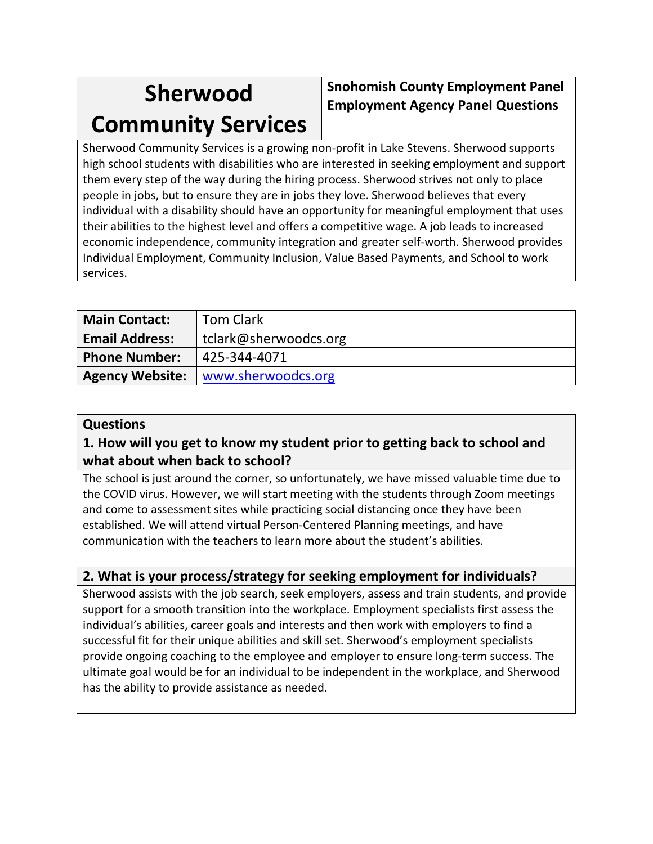# **Sherwood**

# **Community Services**

**Snohomish County Employment Panel Employment Agency Panel Questions**

Sherwood Community Services is a growing non-profit in Lake Stevens. Sherwood supports high school students with disabilities who are interested in seeking employment and support them every step of the way during the hiring process. Sherwood strives not only to place people in jobs, but to ensure they are in jobs they love. Sherwood believes that every individual with a disability should have an opportunity for meaningful employment that uses their abilities to the highest level and offers a competitive wage. A job leads to increased economic independence, community integration and greater self-worth. Sherwood provides Individual Employment, Community Inclusion, Value Based Payments, and School to work services.

| <b>Main Contact:</b>  | <b>Tom Clark</b>                            |
|-----------------------|---------------------------------------------|
| <b>Email Address:</b> | tclark@sherwoodcs.org                       |
| <b>Phone Number:</b>  | 425-344-4071                                |
|                       | <b>Agency Website:</b>   www.sherwoodcs.org |

### **Questions**

# **1. How will you get to know my student prior to getting back to school and what about when back to school?**

The school is just around the corner, so unfortunately, we have missed valuable time due to the COVID virus. However, we will start meeting with the students through Zoom meetings and come to assessment sites while practicing social distancing once they have been established. We will attend virtual Person-Centered Planning meetings, and have communication with the teachers to learn more about the student's abilities.

# **2. What is your process/strategy for seeking employment for individuals?**

Sherwood assists with the job search, seek employers, assess and train students, and provide support for a smooth transition into the workplace. Employment specialists first assess the individual's abilities, career goals and interests and then work with employers to find a successful fit for their unique abilities and skill set. Sherwood's employment specialists provide ongoing coaching to the employee and employer to ensure long-term success. The ultimate goal would be for an individual to be independent in the workplace, and Sherwood has the ability to provide assistance as needed.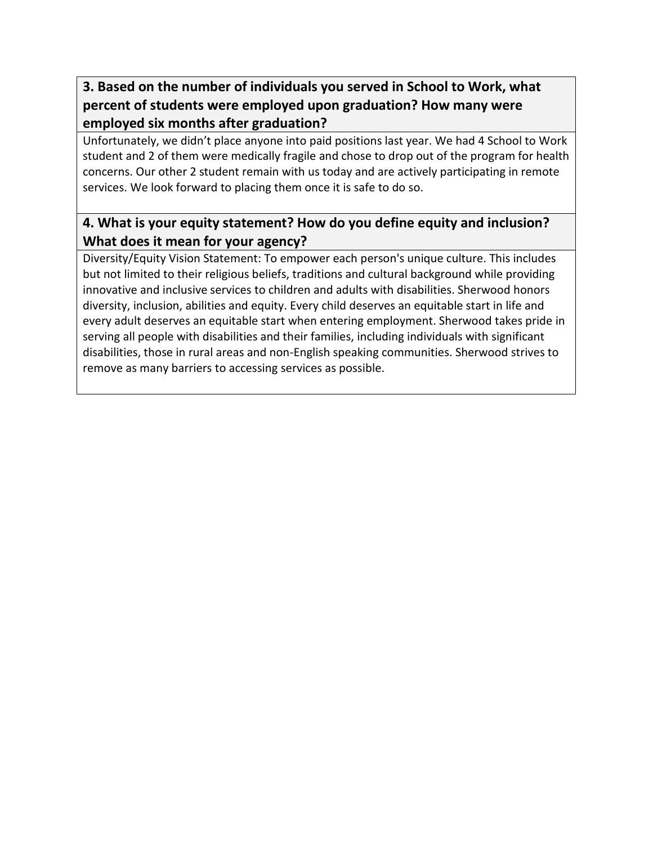# **3. Based on the number of individuals you served in School to Work, what percent of students were employed upon graduation? How many were employed six months after graduation?**

Unfortunately, we didn't place anyone into paid positions last year. We had 4 School to Work student and 2 of them were medically fragile and chose to drop out of the program for health concerns. Our other 2 student remain with us today and are actively participating in remote services. We look forward to placing them once it is safe to do so.

# **4. What is your equity statement? How do you define equity and inclusion? What does it mean for your agency?**

Diversity/Equity Vision Statement: To empower each person's unique culture. This includes but not limited to their religious beliefs, traditions and cultural background while providing innovative and inclusive services to children and adults with disabilities. Sherwood honors diversity, inclusion, abilities and equity. Every child deserves an equitable start in life and every adult deserves an equitable start when entering employment. Sherwood takes pride in serving all people with disabilities and their families, including individuals with significant disabilities, those in rural areas and non-English speaking communities. Sherwood strives to remove as many barriers to accessing services as possible.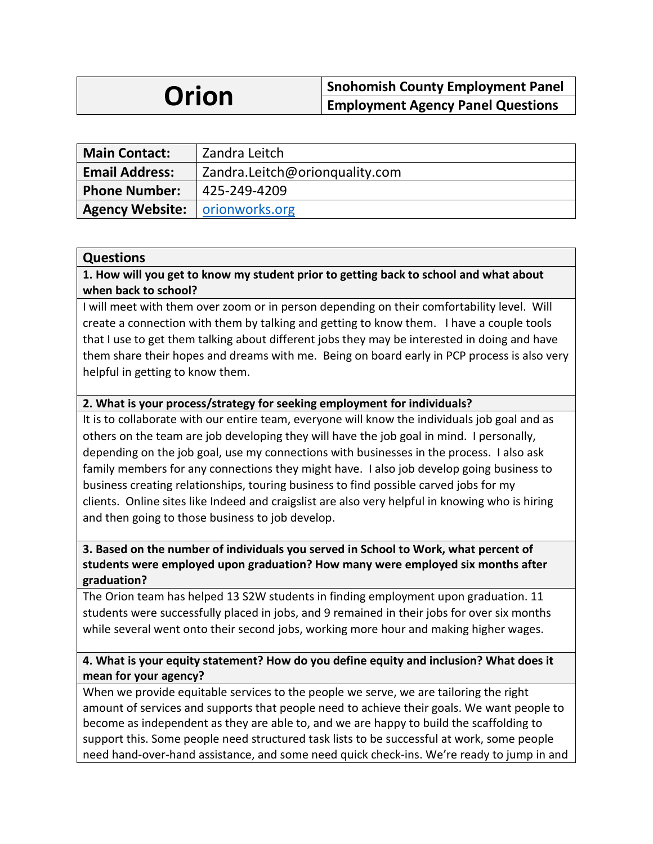# **Orion** Snohomish County Employment Panel<br>
Employment Agency Panel Questions

| <b>Main Contact:</b>                    | Zandra Leitch                  |
|-----------------------------------------|--------------------------------|
| <b>Email Address:</b>                   | Zandra.Leitch@orionquality.com |
| <b>Phone Number:</b>                    | 425-249-4209                   |
| <b>Agency Website:   orionworks.org</b> |                                |

#### **Questions**

**1. How will you get to know my student prior to getting back to school and what about when back to school?**

I will meet with them over zoom or in person depending on their comfortability level. Will create a connection with them by talking and getting to know them. I have a couple tools that I use to get them talking about different jobs they may be interested in doing and have them share their hopes and dreams with me. Being on board early in PCP process is also very helpful in getting to know them.

#### **2. What is your process/strategy for seeking employment for individuals?**

It is to collaborate with our entire team, everyone will know the individuals job goal and as others on the team are job developing they will have the job goal in mind. I personally, depending on the job goal, use my connections with businesses in the process. I also ask family members for any connections they might have. I also job develop going business to business creating relationships, touring business to find possible carved jobs for my clients. Online sites like Indeed and craigslist are also very helpful in knowing who is hiring and then going to those business to job develop.

#### **3. Based on the number of individuals you served in School to Work, what percent of students were employed upon graduation? How many were employed six months after graduation?**

The Orion team has helped 13 S2W students in finding employment upon graduation. 11 students were successfully placed in jobs, and 9 remained in their jobs for over six months while several went onto their second jobs, working more hour and making higher wages.

#### **4. What is your equity statement? How do you define equity and inclusion? What does it mean for your agency?**

When we provide equitable services to the people we serve, we are tailoring the right amount of services and supports that people need to achieve their goals. We want people to become as independent as they are able to, and we are happy to build the scaffolding to support this. Some people need structured task lists to be successful at work, some people need hand-over-hand assistance, and some need quick check-ins. We're ready to jump in and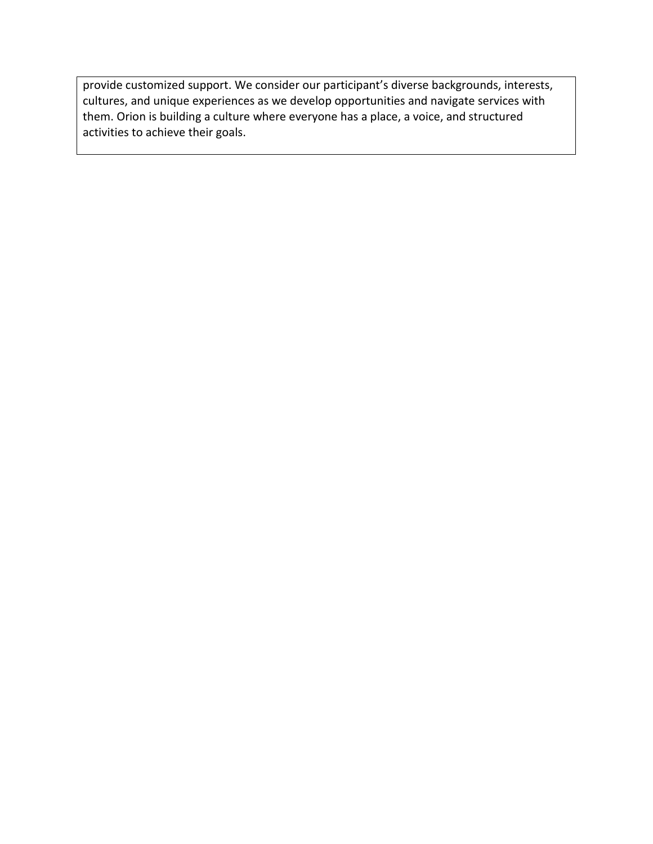provide customized support. We consider our participant's diverse backgrounds, interests, cultures, and unique experiences as we develop opportunities and navigate services with them. Orion is building a culture where everyone has a place, a voice, and structured activities to achieve their goals.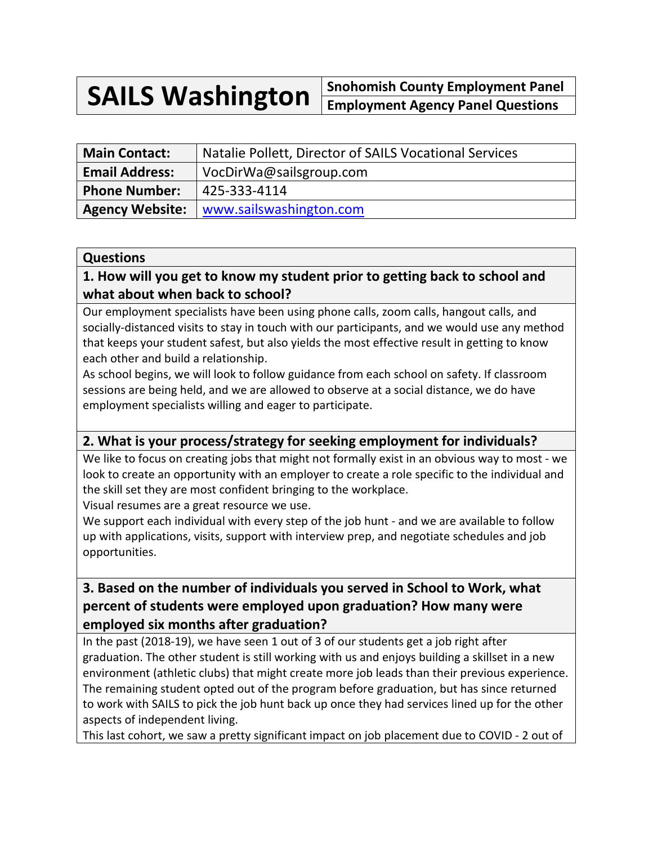**SAILS Washington Snohomish County Employment Panel Employment Agency Panel Questions**

| <b>Main Contact:</b>  | Natalie Pollett, Director of SAILS Vocational Services |
|-----------------------|--------------------------------------------------------|
| <b>Email Address:</b> | VocDirWa@sailsgroup.com                                |
| <b>Phone Number:</b>  | 425-333-4114                                           |
|                       | <b>Agency Website:</b>   www.sailswashington.com       |

#### **Questions**

# **1. How will you get to know my student prior to getting back to school and what about when back to school?**

Our employment specialists have been using phone calls, zoom calls, hangout calls, and socially-distanced visits to stay in touch with our participants, and we would use any method that keeps your student safest, but also yields the most effective result in getting to know each other and build a relationship.

As school begins, we will look to follow guidance from each school on safety. If classroom sessions are being held, and we are allowed to observe at a social distance, we do have employment specialists willing and eager to participate.

# **2. What is your process/strategy for seeking employment for individuals?**

We like to focus on creating jobs that might not formally exist in an obvious way to most - we look to create an opportunity with an employer to create a role specific to the individual and the skill set they are most confident bringing to the workplace. Visual resumes are a great resource we use.

We support each individual with every step of the job hunt - and we are available to follow

up with applications, visits, support with interview prep, and negotiate schedules and job opportunities.

# **3. Based on the number of individuals you served in School to Work, what percent of students were employed upon graduation? How many were employed six months after graduation?**

In the past (2018-19), we have seen 1 out of 3 of our students get a job right after graduation. The other student is still working with us and enjoys building a skillset in a new environment (athletic clubs) that might create more job leads than their previous experience. The remaining student opted out of the program before graduation, but has since returned to work with SAILS to pick the job hunt back up once they had services lined up for the other aspects of independent living.

This last cohort, we saw a pretty significant impact on job placement due to COVID - 2 out of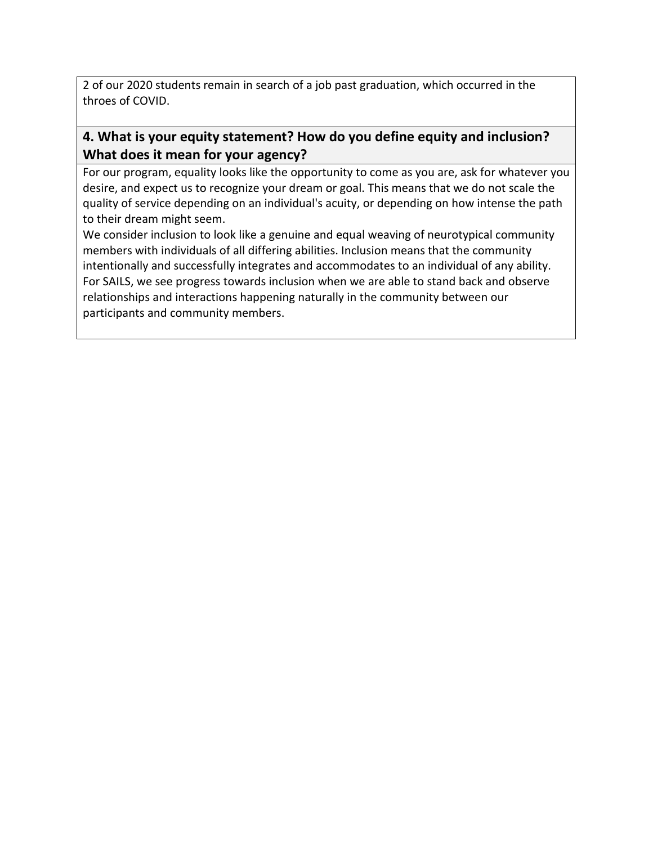2 of our 2020 students remain in search of a job past graduation, which occurred in the throes of COVID.

# **4. What is your equity statement? How do you define equity and inclusion? What does it mean for your agency?**

For our program, equality looks like the opportunity to come as you are, ask for whatever you desire, and expect us to recognize your dream or goal. This means that we do not scale the quality of service depending on an individual's acuity, or depending on how intense the path to their dream might seem.

We consider inclusion to look like a genuine and equal weaving of neurotypical community members with individuals of all differing abilities. Inclusion means that the community intentionally and successfully integrates and accommodates to an individual of any ability. For SAILS, we see progress towards inclusion when we are able to stand back and observe relationships and interactions happening naturally in the community between our participants and community members.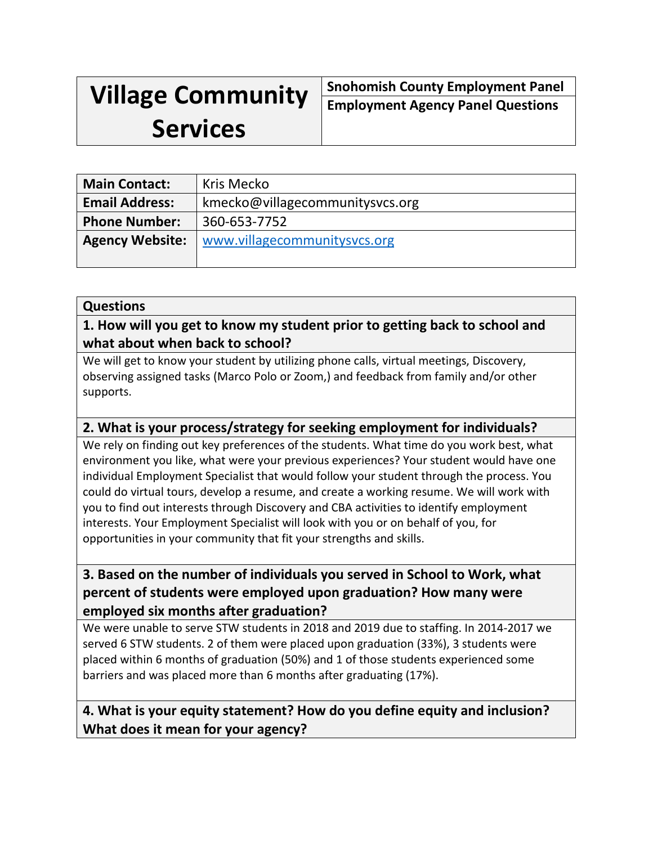# **Village Community**

**Snohomish County Employment Panel Employment Agency Panel Questions**

# **Services**

| <b>Main Contact:</b>   | Kris Mecko                      |
|------------------------|---------------------------------|
| <b>Email Address:</b>  | kmecko@villagecommunitysvcs.org |
| <b>Phone Number:</b>   | 360-653-7752                    |
| <b>Agency Website:</b> | www.villagecommunitysvcs.org    |

### **Questions**

# **1. How will you get to know my student prior to getting back to school and what about when back to school?**

We will get to know your student by utilizing phone calls, virtual meetings, Discovery, observing assigned tasks (Marco Polo or Zoom,) and feedback from family and/or other supports.

# **2. What is your process/strategy for seeking employment for individuals?**

We rely on finding out key preferences of the students. What time do you work best, what environment you like, what were your previous experiences? Your student would have one individual Employment Specialist that would follow your student through the process. You could do virtual tours, develop a resume, and create a working resume. We will work with you to find out interests through Discovery and CBA activities to identify employment interests. Your Employment Specialist will look with you or on behalf of you, for opportunities in your community that fit your strengths and skills.

# **3. Based on the number of individuals you served in School to Work, what percent of students were employed upon graduation? How many were employed six months after graduation?**

We were unable to serve STW students in 2018 and 2019 due to staffing. In 2014-2017 we served 6 STW students. 2 of them were placed upon graduation (33%), 3 students were placed within 6 months of graduation (50%) and 1 of those students experienced some barriers and was placed more than 6 months after graduating (17%).

# **4. What is your equity statement? How do you define equity and inclusion? What does it mean for your agency?**